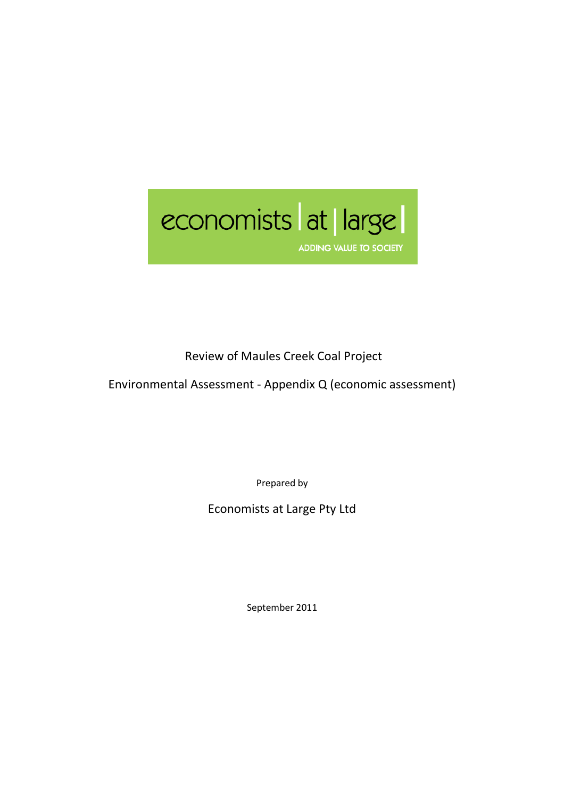

Review of Maules Creek Coal Project

Environmental Assessment - Appendix Q (economic assessment)

Prepared by

Economists at Large Pty Ltd

September 2011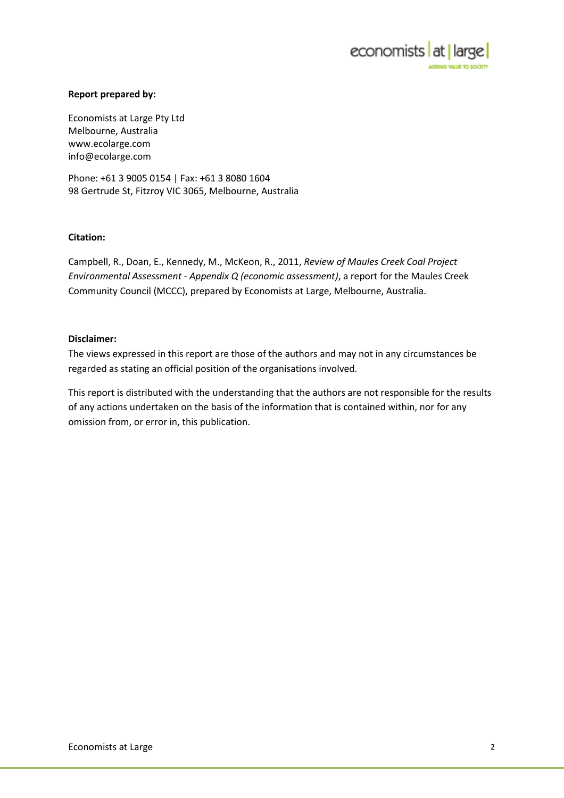

### Report prepared by:

Economists at Large Pty Ltd Melbourne, Australia www.ecolarge.com info@ecolarge.com

Phone: +61 3 9005 0154 | Fax: +61 3 8080 1604 98 Gertrude St, Fitzroy VIC 3065, Melbourne, Australia

### Citation:

Campbell, R., Doan, E., Kennedy, M., McKeon, R., 2011, Review of Maules Creek Coal Project Environmental Assessment - Appendix Q (economic assessment), a report for the Maules Creek Community Council (MCCC), prepared by Economists at Large, Melbourne, Australia.

#### Disclaimer:

The views expressed in this report are those of the authors and may not in any circumstances be regarded as stating an official position of the organisations involved.

This report is distributed with the understanding that the authors are not responsible for the results of any actions undertaken on the basis of the information that is contained within, nor for any omission from, or error in, this publication.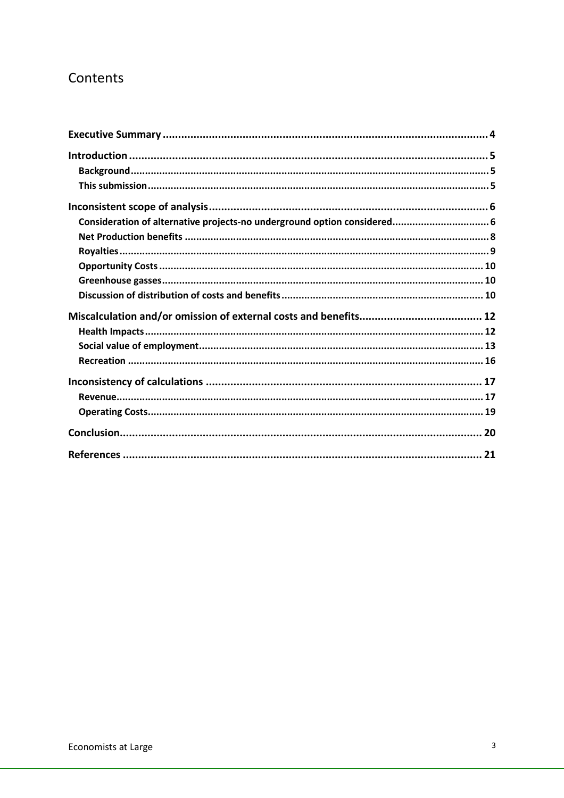# Contents

| Consideration of alternative projects-no underground option considered 6 |  |
|--------------------------------------------------------------------------|--|
|                                                                          |  |
|                                                                          |  |
|                                                                          |  |
|                                                                          |  |
|                                                                          |  |
|                                                                          |  |
|                                                                          |  |
|                                                                          |  |
|                                                                          |  |
|                                                                          |  |
|                                                                          |  |
|                                                                          |  |
|                                                                          |  |
|                                                                          |  |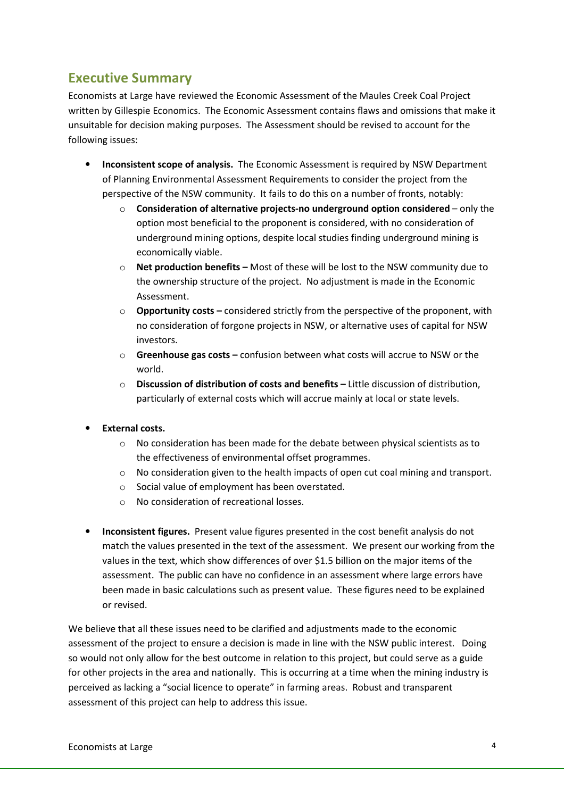# Executive Summary

Economists at Large have reviewed the Economic Assessment of the Maules Creek Coal Project written by Gillespie Economics. The Economic Assessment contains flaws and omissions that make it unsuitable for decision making purposes. The Assessment should be revised to account for the following issues:

- Inconsistent scope of analysis. The Economic Assessment is required by NSW Department of Planning Environmental Assessment Requirements to consider the project from the perspective of the NSW community. It fails to do this on a number of fronts, notably:
	- $\circ$  Consideration of alternative projects-no underground option considered only the option most beneficial to the proponent is considered, with no consideration of underground mining options, despite local studies finding underground mining is economically viable.
	- $\circ$  Net production benefits Most of these will be lost to the NSW community due to the ownership structure of the project. No adjustment is made in the Economic Assessment.
	- $\circ$  Opportunity costs considered strictly from the perspective of the proponent, with no consideration of forgone projects in NSW, or alternative uses of capital for NSW investors.
	- $\circ$  Greenhouse gas costs confusion between what costs will accrue to NSW or the world.
	- o Discussion of distribution of costs and benefits Little discussion of distribution, particularly of external costs which will accrue mainly at local or state levels.
- External costs.
	- $\circ$  No consideration has been made for the debate between physical scientists as to the effectiveness of environmental offset programmes.
	- $\circ$  No consideration given to the health impacts of open cut coal mining and transport.
	- o Social value of employment has been overstated.
	- o No consideration of recreational losses.
- Inconsistent figures. Present value figures presented in the cost benefit analysis do not match the values presented in the text of the assessment. We present our working from the values in the text, which show differences of over \$1.5 billion on the major items of the assessment. The public can have no confidence in an assessment where large errors have been made in basic calculations such as present value. These figures need to be explained or revised.

We believe that all these issues need to be clarified and adjustments made to the economic assessment of the project to ensure a decision is made in line with the NSW public interest. Doing so would not only allow for the best outcome in relation to this project, but could serve as a guide for other projects in the area and nationally. This is occurring at a time when the mining industry is perceived as lacking a "social licence to operate" in farming areas. Robust and transparent assessment of this project can help to address this issue.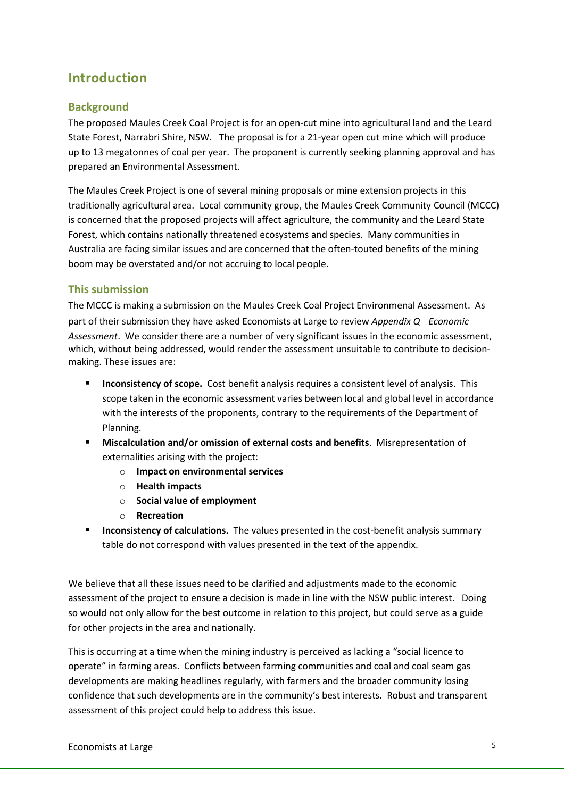# Introduction

## Background

The proposed Maules Creek Coal Project is for an open-cut mine into agricultural land and the Leard State Forest, Narrabri Shire, NSW. The proposal is for a 21-year open cut mine which will produce up to 13 megatonnes of coal per year. The proponent is currently seeking planning approval and has prepared an Environmental Assessment.

The Maules Creek Project is one of several mining proposals or mine extension projects in this traditionally agricultural area. Local community group, the Maules Creek Community Council (MCCC) is concerned that the proposed projects will affect agriculture, the community and the Leard State Forest, which contains nationally threatened ecosystems and species. Many communities in Australia are facing similar issues and are concerned that the often-touted benefits of the mining boom may be overstated and/or not accruing to local people.

### This submission

The MCCC is making a submission on the Maules Creek Coal Project Environmenal Assessment. As part of their submission they have asked Economists at Large to review Appendix Q - Economic Assessment. We consider there are a number of very significant issues in the economic assessment, which, without being addressed, would render the assessment unsuitable to contribute to decisionmaking. These issues are:

- **Inconsistency of scope.** Cost benefit analysis requires a consistent level of analysis. This scope taken in the economic assessment varies between local and global level in accordance with the interests of the proponents, contrary to the requirements of the Department of Planning.
- Miscalculation and/or omission of external costs and benefits. Misrepresentation of externalities arising with the project:
	- o Impact on environmental services
	- o Health impacts
	- o Social value of employment
	- o Recreation
- Inconsistency of calculations. The values presented in the cost-benefit analysis summary table do not correspond with values presented in the text of the appendix.

We believe that all these issues need to be clarified and adjustments made to the economic assessment of the project to ensure a decision is made in line with the NSW public interest. Doing so would not only allow for the best outcome in relation to this project, but could serve as a guide for other projects in the area and nationally.

This is occurring at a time when the mining industry is perceived as lacking a "social licence to operate" in farming areas. Conflicts between farming communities and coal and coal seam gas developments are making headlines regularly, with farmers and the broader community losing confidence that such developments are in the community's best interests. Robust and transparent assessment of this project could help to address this issue.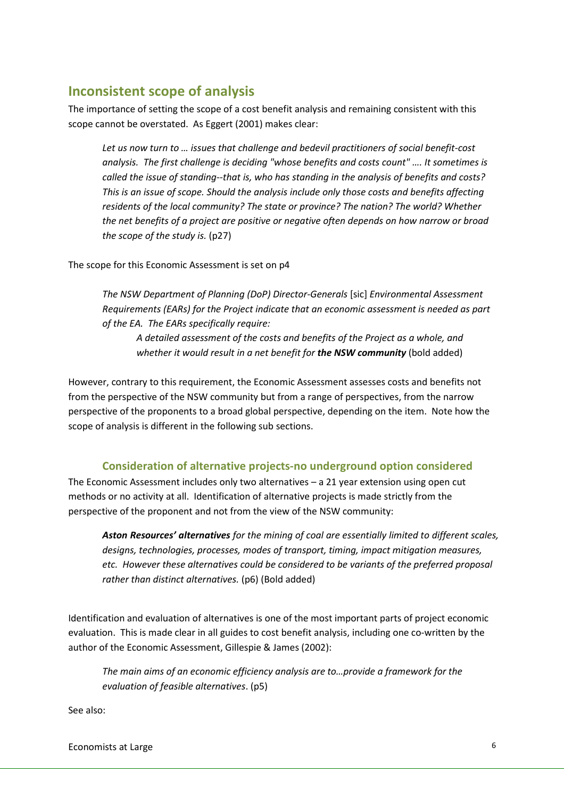# Inconsistent scope of analysis

The importance of setting the scope of a cost benefit analysis and remaining consistent with this scope cannot be overstated. As Eggert (2001) makes clear:

Let us now turn to … issues that challenge and bedevil practitioners of social benefit-cost analysis. The first challenge is deciding "whose benefits and costs count" …. It sometimes is called the issue of standing--that is, who has standing in the analysis of benefits and costs? This is an issue of scope. Should the analysis include only those costs and benefits affecting residents of the local community? The state or province? The nation? The world? Whether the net benefits of a project are positive or negative often depends on how narrow or broad the scope of the study is. (p27)

The scope for this Economic Assessment is set on p4

The NSW Department of Planning (DoP) Director-Generals [sic] Environmental Assessment Requirements (EARs) for the Project indicate that an economic assessment is needed as part of the EA. The EARs specifically require:

A detailed assessment of the costs and benefits of the Project as a whole, and whether it would result in a net benefit for the NSW community (bold added)

However, contrary to this requirement, the Economic Assessment assesses costs and benefits not from the perspective of the NSW community but from a range of perspectives, from the narrow perspective of the proponents to a broad global perspective, depending on the item. Note how the scope of analysis is different in the following sub sections.

### Consideration of alternative projects-no underground option considered

The Economic Assessment includes only two alternatives – a 21 year extension using open cut methods or no activity at all. Identification of alternative projects is made strictly from the perspective of the proponent and not from the view of the NSW community:

Aston Resources' alternatives for the mining of coal are essentially limited to different scales, designs, technologies, processes, modes of transport, timing, impact mitigation measures, etc. However these alternatives could be considered to be variants of the preferred proposal rather than distinct alternatives. (p6) (Bold added)

Identification and evaluation of alternatives is one of the most important parts of project economic evaluation. This is made clear in all guides to cost benefit analysis, including one co-written by the author of the Economic Assessment, Gillespie & James (2002):

The main aims of an economic efficiency analysis are to…provide a framework for the evaluation of feasible alternatives. (p5)

See also:

Economists at Large 6 and 200 km s and 200 km s and 200 km s and 30 km s and 30 km s and 40 km s and 40 km s and 40 km s and 40 km s and 40 km s and 40 km s and 40 km s and 40 km s and 40 km s and 40 km s and 40 km s and 4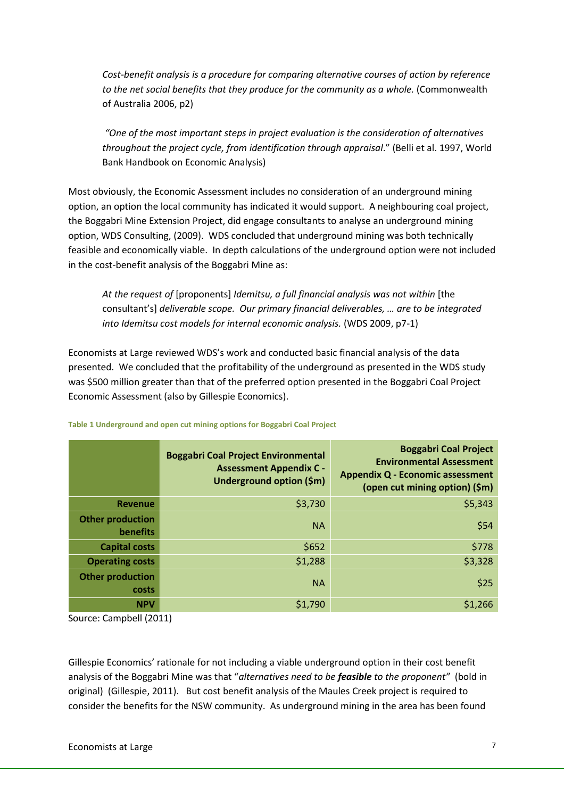Cost-benefit analysis is a procedure for comparing alternative courses of action by reference to the net social benefits that they produce for the community as a whole. (Commonwealth of Australia 2006, p2)

 "One of the most important steps in project evaluation is the consideration of alternatives throughout the project cycle, from identification through appraisal." (Belli et al. 1997, World Bank Handbook on Economic Analysis)

Most obviously, the Economic Assessment includes no consideration of an underground mining option, an option the local community has indicated it would support. A neighbouring coal project, the Boggabri Mine Extension Project, did engage consultants to analyse an underground mining option, WDS Consulting, (2009). WDS concluded that underground mining was both technically feasible and economically viable. In depth calculations of the underground option were not included in the cost-benefit analysis of the Boggabri Mine as:

At the request of [proponents] Idemitsu, a full financial analysis was not within [the consultant's] deliverable scope. Our primary financial deliverables, … are to be integrated into Idemitsu cost models for internal economic analysis. (WDS 2009, p7-1)

Economists at Large reviewed WDS's work and conducted basic financial analysis of the data presented. We concluded that the profitability of the underground as presented in the WDS study was \$500 million greater than that of the preferred option presented in the Boggabri Coal Project Economic Assessment (also by Gillespie Economics).

|                                     | <b>Boggabri Coal Project Environmental</b><br><b>Assessment Appendix C -</b><br>Underground option (\$m) | <b>Boggabri Coal Project</b><br><b>Environmental Assessment</b><br><b>Appendix Q - Economic assessment</b><br>(open cut mining option) (\$m) |
|-------------------------------------|----------------------------------------------------------------------------------------------------------|----------------------------------------------------------------------------------------------------------------------------------------------|
| <b>Revenue</b>                      | \$3,730                                                                                                  | \$5,343                                                                                                                                      |
| <b>Other production</b><br>benefits | <b>NA</b>                                                                                                | \$54                                                                                                                                         |
| <b>Capital costs</b>                | \$652                                                                                                    | \$778                                                                                                                                        |
| <b>Operating costs</b>              | \$1,288                                                                                                  | \$3,328                                                                                                                                      |
| <b>Other production</b><br>costs    | <b>NA</b>                                                                                                | \$25                                                                                                                                         |
| <b>NPV</b>                          | \$1,790                                                                                                  | \$1,266                                                                                                                                      |

#### Table 1 Underground and open cut mining options for Boggabri Coal Project

Source: Campbell (2011)

Gillespie Economics' rationale for not including a viable underground option in their cost benefit analysis of the Boggabri Mine was that "alternatives need to be feasible to the proponent" (bold in original) (Gillespie, 2011). But cost benefit analysis of the Maules Creek project is required to consider the benefits for the NSW community. As underground mining in the area has been found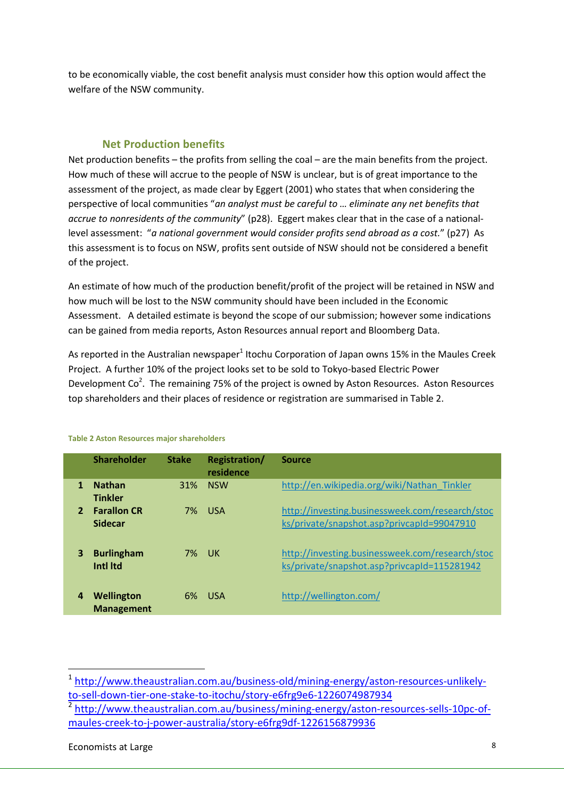to be economically viable, the cost benefit analysis must consider how this option would affect the welfare of the NSW community.

### Net Production benefits

Net production benefits – the profits from selling the coal – are the main benefits from the project. How much of these will accrue to the people of NSW is unclear, but is of great importance to the assessment of the project, as made clear by Eggert (2001) who states that when considering the perspective of local communities "an analyst must be careful to … eliminate any net benefits that accrue to nonresidents of the community" (p28). Eggert makes clear that in the case of a nationallevel assessment: "a national government would consider profits send abroad as a cost." (p27) As this assessment is to focus on NSW, profits sent outside of NSW should not be considered a benefit of the project.

An estimate of how much of the production benefit/profit of the project will be retained in NSW and how much will be lost to the NSW community should have been included in the Economic Assessment. A detailed estimate is beyond the scope of our submission; however some indications can be gained from media reports, Aston Resources annual report and Bloomberg Data.

As reported in the Australian newspaper<sup>1</sup> Itochu Corporation of Japan owns 15% in the Maules Creek Project. A further 10% of the project looks set to be sold to Tokyo-based Electric Power Development Co<sup>2</sup>. The remaining 75% of the project is owned by Aston Resources. Aston Resources top shareholders and their places of residence or registration are summarised in Table 2.

|                | <b>Shareholder</b>                   | <b>Stake</b> | <b>Registration/</b><br>residence | <b>Source</b>                                                                                  |
|----------------|--------------------------------------|--------------|-----------------------------------|------------------------------------------------------------------------------------------------|
| 1              | <b>Nathan</b><br><b>Tinkler</b>      | 31%          | <b>NSW</b>                        | http://en.wikipedia.org/wiki/Nathan Tinkler                                                    |
| $\overline{2}$ | <b>Farallon CR</b><br><b>Sidecar</b> |              | <b>7% USA</b>                     | http://investing.businessweek.com/research/stoc<br>ks/private/snapshot.asp?privcapId=99047910  |
| 3              | <b>Burlingham</b><br>Intl Itd        | 7% UK        |                                   | http://investing.businessweek.com/research/stoc<br>ks/private/snapshot.asp?privcapId=115281942 |
| 4              | Wellington<br><b>Management</b>      | 6%           | - USA                             | http://wellington.com/                                                                         |

#### Table 2 Aston Resources major shareholders

l

<sup>&</sup>lt;sup>1</sup> http://www.theaustralian.com.au/business-old/mining-energy/aston-resources-unlikelyto-sell-down-tier-one-stake-to-itochu/story-e6frg9e6-1226074987934

<sup>&</sup>lt;sup>2</sup> http://www.theaustralian.com.au/business/mining-energy/aston-resources-sells-10pc-ofmaules-creek-to-j-power-australia/story-e6frg9df-1226156879936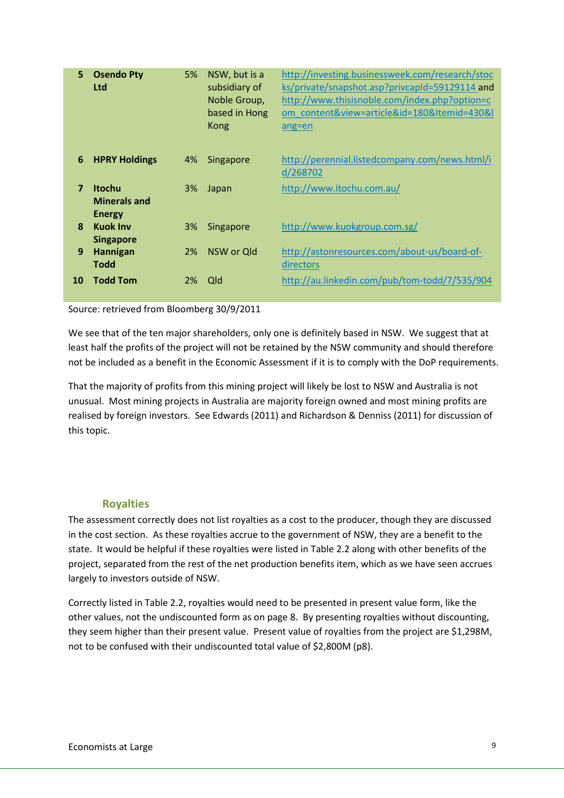| 5              | <b>Osendo Pty</b><br><b>Ltd</b>                       | 5% | NSW, but is a<br>subsidiary of<br>Noble Group,<br>based in Hong<br>Kong | http://investing.businessweek.com/research/stoc<br>ks/private/snapshot.asp?privcapId=59129114 and<br>http://www.thisisnoble.com/index.php?option=c<br>om content&view=article&id=180&Itemid=430&I<br>$ang = en$ |
|----------------|-------------------------------------------------------|----|-------------------------------------------------------------------------|-----------------------------------------------------------------------------------------------------------------------------------------------------------------------------------------------------------------|
| 6              | <b>HPRY Holdings</b>                                  | 4% | Singapore                                                               | http://perennial.listedcompany.com/news.html/i<br>d/268702                                                                                                                                                      |
| $\overline{7}$ | <b>Itochu</b><br><b>Minerals and</b><br><b>Energy</b> | 3% | Japan                                                                   | http://www.itochu.com.au/                                                                                                                                                                                       |
| 8              | <b>Kuok Inv</b><br><b>Singapore</b>                   | 3% | Singapore                                                               | http://www.kuokgroup.com.sg/                                                                                                                                                                                    |
| 9              | Hannigan<br><b>Todd</b>                               | 2% | NSW or Old                                                              | http://astonresources.com/about-us/board-of-<br>directors                                                                                                                                                       |
| 10             | <b>Todd Tom</b>                                       | 2% | <b>Qld</b>                                                              | http://au.linkedin.com/pub/tom-todd/7/535/904                                                                                                                                                                   |

Source: retrieved from Bloomberg 30/9/2011

We see that of the ten major shareholders, only one is definitely based in NSW. We suggest that at least half the profits of the project will not be retained by the NSW community and should therefore not be included as a benefit in the Economic Assessment if it is to comply with the DoP requirements.

That the majority of profits from this mining project will likely be lost to NSW and Australia is not unusual. Most mining projects in Australia are majority foreign owned and most mining profits are realised by foreign investors. See Edwards (2011) and Richardson & Denniss (2011) for discussion of this topic.

### Royalties

The assessment correctly does not list royalties as a cost to the producer, though they are discussed in the cost section. As these royalties accrue to the government of NSW, they are a benefit to the state. It would be helpful if these royalties were listed in Table 2.2 along with other benefits of the project, separated from the rest of the net production benefits item, which as we have seen accrues largely to investors outside of NSW.

Correctly listed in Table 2.2, royalties would need to be presented in present value form, like the other values, not the undiscounted form as on page 8. By presenting royalties without discounting, they seem higher than their present value. Present value of royalties from the project are \$1,298M, not to be confused with their undiscounted total value of \$2,800M (p8).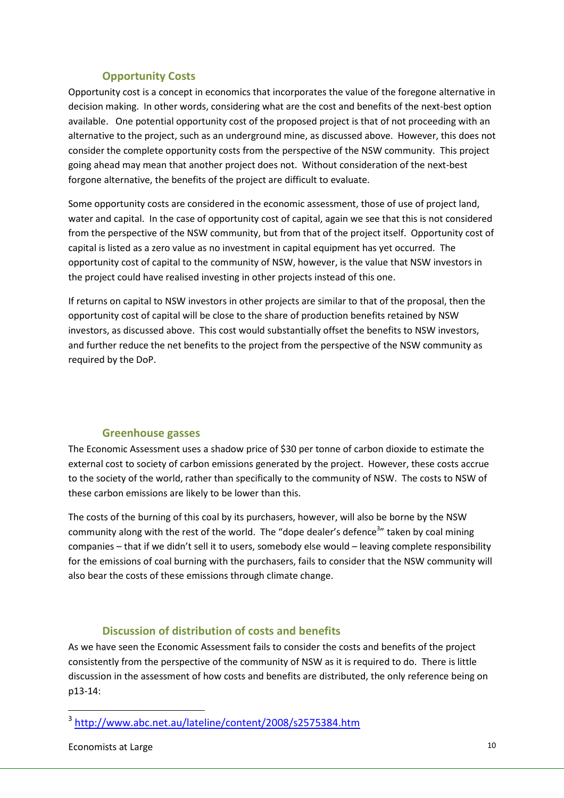### Opportunity Costs

Opportunity cost is a concept in economics that incorporates the value of the foregone alternative in decision making. In other words, considering what are the cost and benefits of the next-best option available. One potential opportunity cost of the proposed project is that of not proceeding with an alternative to the project, such as an underground mine, as discussed above. However, this does not consider the complete opportunity costs from the perspective of the NSW community. This project going ahead may mean that another project does not. Without consideration of the next-best forgone alternative, the benefits of the project are difficult to evaluate.

Some opportunity costs are considered in the economic assessment, those of use of project land, water and capital. In the case of opportunity cost of capital, again we see that this is not considered from the perspective of the NSW community, but from that of the project itself. Opportunity cost of capital is listed as a zero value as no investment in capital equipment has yet occurred. The opportunity cost of capital to the community of NSW, however, is the value that NSW investors in the project could have realised investing in other projects instead of this one.

If returns on capital to NSW investors in other projects are similar to that of the proposal, then the opportunity cost of capital will be close to the share of production benefits retained by NSW investors, as discussed above. This cost would substantially offset the benefits to NSW investors, and further reduce the net benefits to the project from the perspective of the NSW community as required by the DoP.

### Greenhouse gasses

The Economic Assessment uses a shadow price of \$30 per tonne of carbon dioxide to estimate the external cost to society of carbon emissions generated by the project. However, these costs accrue to the society of the world, rather than specifically to the community of NSW. The costs to NSW of these carbon emissions are likely to be lower than this.

The costs of the burning of this coal by its purchasers, however, will also be borne by the NSW community along with the rest of the world. The "dope dealer's defence<sup>3</sup>" taken by coal mining companies – that if we didn't sell it to users, somebody else would – leaving complete responsibility for the emissions of coal burning with the purchasers, fails to consider that the NSW community will also bear the costs of these emissions through climate change.

## Discussion of distribution of costs and benefits

As we have seen the Economic Assessment fails to consider the costs and benefits of the project consistently from the perspective of the community of NSW as it is required to do. There is little discussion in the assessment of how costs and benefits are distributed, the only reference being on p13-14:

l

<sup>3</sup> http://www.abc.net.au/lateline/content/2008/s2575384.htm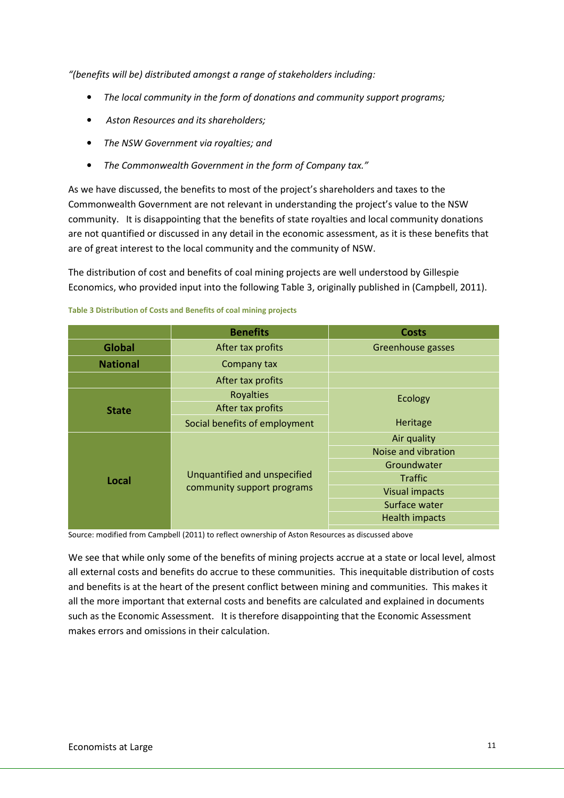"(benefits will be) distributed amongst a range of stakeholders including:

- The local community in the form of donations and community support programs;
- Aston Resources and its shareholders;
- The NSW Government via royalties; and
- The Commonwealth Government in the form of Company tax."

As we have discussed, the benefits to most of the project's shareholders and taxes to the Commonwealth Government are not relevant in understanding the project's value to the NSW community. It is disappointing that the benefits of state royalties and local community donations are not quantified or discussed in any detail in the economic assessment, as it is these benefits that are of great interest to the local community and the community of NSW.

The distribution of cost and benefits of coal mining projects are well understood by Gillespie Economics, who provided input into the following Table 3, originally published in (Campbell, 2011).

|                 | <b>Benefits</b>               | <b>Costs</b>          |
|-----------------|-------------------------------|-----------------------|
| <b>Global</b>   | After tax profits             | Greenhouse gasses     |
| <b>National</b> | Company tax                   |                       |
|                 | After tax profits             |                       |
|                 | <b>Royalties</b>              | Ecology               |
| <b>State</b>    | After tax profits             |                       |
|                 | Social benefits of employment | Heritage              |
|                 |                               | Air quality           |
|                 |                               | Noise and vibration   |
|                 |                               | Groundwater           |
| Local           | Unquantified and unspecified  | <b>Traffic</b>        |
|                 | community support programs    | <b>Visual impacts</b> |
|                 |                               | Surface water         |
|                 |                               | <b>Health impacts</b> |
|                 |                               |                       |

#### Table 3 Distribution of Costs and Benefits of coal mining projects

Source: modified from Campbell (2011) to reflect ownership of Aston Resources as discussed above

We see that while only some of the benefits of mining projects accrue at a state or local level, almost all external costs and benefits do accrue to these communities. This inequitable distribution of costs and benefits is at the heart of the present conflict between mining and communities. This makes it all the more important that external costs and benefits are calculated and explained in documents such as the Economic Assessment. It is therefore disappointing that the Economic Assessment makes errors and omissions in their calculation.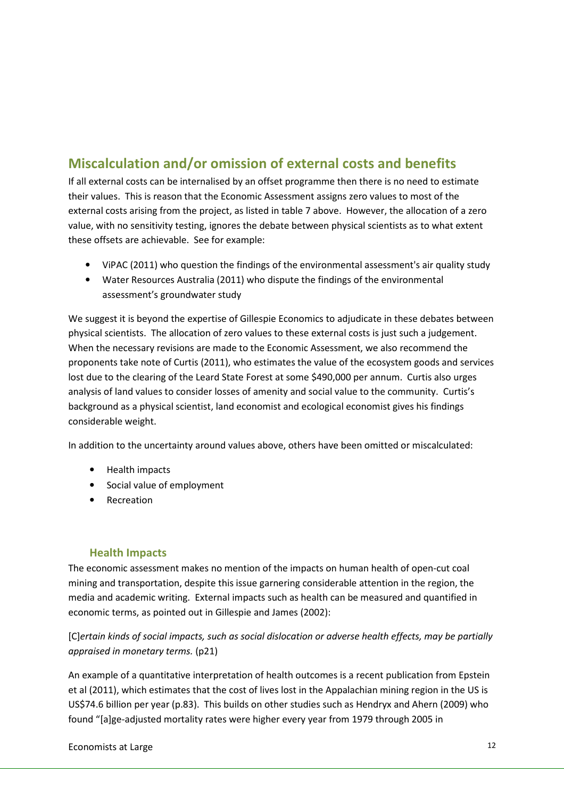# Miscalculation and/or omission of external costs and benefits

If all external costs can be internalised by an offset programme then there is no need to estimate their values. This is reason that the Economic Assessment assigns zero values to most of the external costs arising from the project, as listed in table 7 above. However, the allocation of a zero value, with no sensitivity testing, ignores the debate between physical scientists as to what extent these offsets are achievable. See for example:

- ViPAC (2011) who question the findings of the environmental assessment's air quality study
- Water Resources Australia (2011) who dispute the findings of the environmental assessment's groundwater study

We suggest it is beyond the expertise of Gillespie Economics to adjudicate in these debates between physical scientists. The allocation of zero values to these external costs is just such a judgement. When the necessary revisions are made to the Economic Assessment, we also recommend the proponents take note of Curtis (2011), who estimates the value of the ecosystem goods and services lost due to the clearing of the Leard State Forest at some \$490,000 per annum. Curtis also urges analysis of land values to consider losses of amenity and social value to the community. Curtis's background as a physical scientist, land economist and ecological economist gives his findings considerable weight.

In addition to the uncertainty around values above, others have been omitted or miscalculated:

- Health impacts
- Social value of employment
- Recreation

## Health Impacts

The economic assessment makes no mention of the impacts on human health of open-cut coal mining and transportation, despite this issue garnering considerable attention in the region, the media and academic writing. External impacts such as health can be measured and quantified in economic terms, as pointed out in Gillespie and James (2002):

## [C]ertain kinds of social impacts, such as social dislocation or adverse health effects, may be partially appraised in monetary terms. (p21)

An example of a quantitative interpretation of health outcomes is a recent publication from Epstein et al (2011), which estimates that the cost of lives lost in the Appalachian mining region in the US is US\$74.6 billion per year (p.83). This builds on other studies such as Hendryx and Ahern (2009) who found "[a]ge-adjusted mortality rates were higher every year from 1979 through 2005 in

Economists at Large 12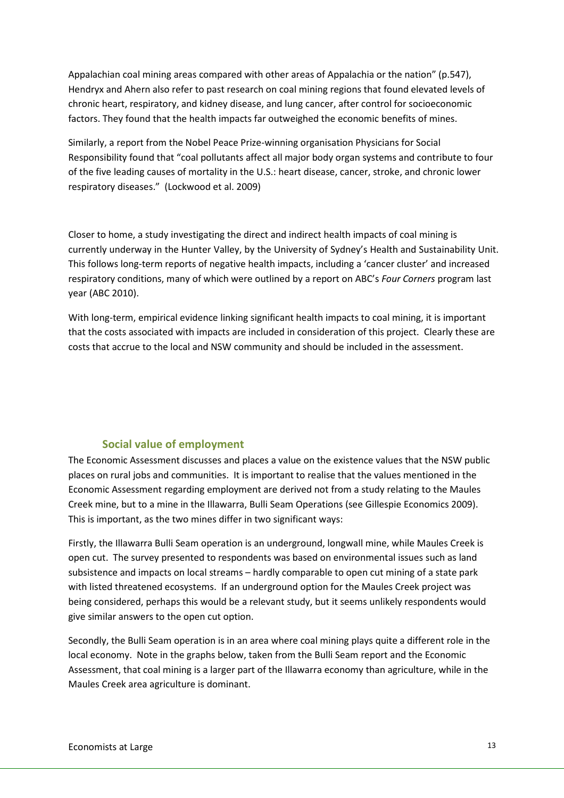Appalachian coal mining areas compared with other areas of Appalachia or the nation" (p.547), Hendryx and Ahern also refer to past research on coal mining regions that found elevated levels of chronic heart, respiratory, and kidney disease, and lung cancer, after control for socioeconomic factors. They found that the health impacts far outweighed the economic benefits of mines.

Similarly, a report from the Nobel Peace Prize-winning organisation Physicians for Social Responsibility found that "coal pollutants affect all major body organ systems and contribute to four of the five leading causes of mortality in the U.S.: heart disease, cancer, stroke, and chronic lower respiratory diseases." (Lockwood et al. 2009)

Closer to home, a study investigating the direct and indirect health impacts of coal mining is currently underway in the Hunter Valley, by the University of Sydney's Health and Sustainability Unit. This follows long-term reports of negative health impacts, including a 'cancer cluster' and increased respiratory conditions, many of which were outlined by a report on ABC's Four Corners program last year (ABC 2010).

With long-term, empirical evidence linking significant health impacts to coal mining, it is important that the costs associated with impacts are included in consideration of this project. Clearly these are costs that accrue to the local and NSW community and should be included in the assessment.

## Social value of employment

The Economic Assessment discusses and places a value on the existence values that the NSW public places on rural jobs and communities. It is important to realise that the values mentioned in the Economic Assessment regarding employment are derived not from a study relating to the Maules Creek mine, but to a mine in the Illawarra, Bulli Seam Operations (see Gillespie Economics 2009). This is important, as the two mines differ in two significant ways:

Firstly, the Illawarra Bulli Seam operation is an underground, longwall mine, while Maules Creek is open cut. The survey presented to respondents was based on environmental issues such as land subsistence and impacts on local streams – hardly comparable to open cut mining of a state park with listed threatened ecosystems. If an underground option for the Maules Creek project was being considered, perhaps this would be a relevant study, but it seems unlikely respondents would give similar answers to the open cut option.

Secondly, the Bulli Seam operation is in an area where coal mining plays quite a different role in the local economy. Note in the graphs below, taken from the Bulli Seam report and the Economic Assessment, that coal mining is a larger part of the Illawarra economy than agriculture, while in the Maules Creek area agriculture is dominant.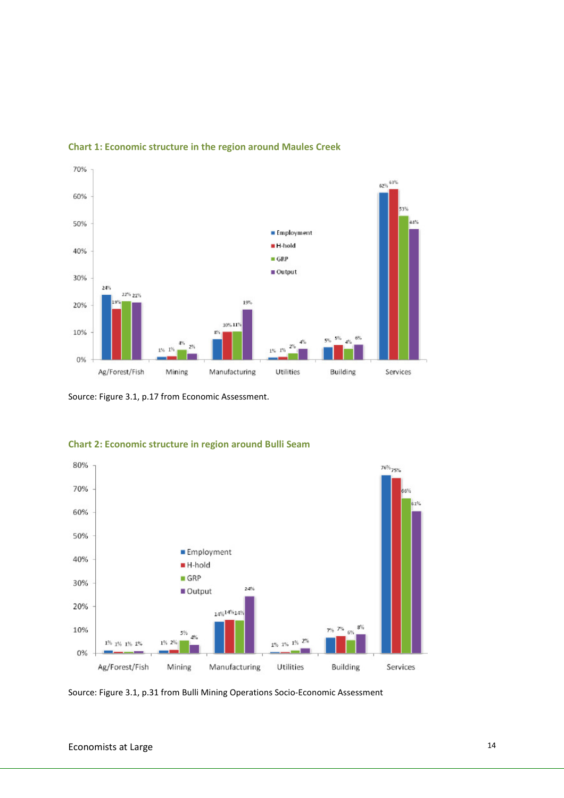

### Chart 1: Economic structure in the region around Maules Creek

Source: Figure 3.1, p.17 from Economic Assessment.



### Chart 2: Economic structure in region around Bulli Seam

Source: Figure 3.1, p.31 from Bulli Mining Operations Socio-Economic Assessment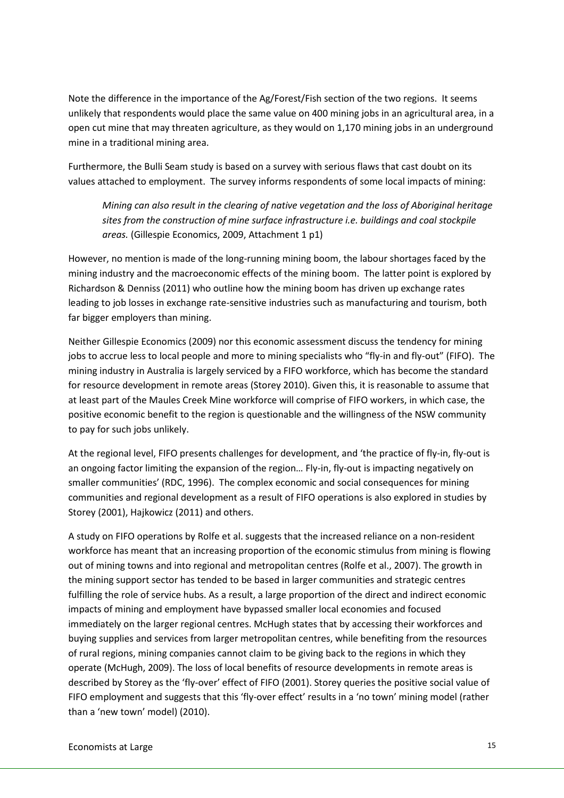Note the difference in the importance of the Ag/Forest/Fish section of the two regions. It seems unlikely that respondents would place the same value on 400 mining jobs in an agricultural area, in a open cut mine that may threaten agriculture, as they would on 1,170 mining jobs in an underground mine in a traditional mining area.

Furthermore, the Bulli Seam study is based on a survey with serious flaws that cast doubt on its values attached to employment. The survey informs respondents of some local impacts of mining:

Mining can also result in the clearing of native vegetation and the loss of Aboriginal heritage sites from the construction of mine surface infrastructure i.e. buildings and coal stockpile areas. (Gillespie Economics, 2009, Attachment 1 p1)

However, no mention is made of the long-running mining boom, the labour shortages faced by the mining industry and the macroeconomic effects of the mining boom. The latter point is explored by Richardson & Denniss (2011) who outline how the mining boom has driven up exchange rates leading to job losses in exchange rate-sensitive industries such as manufacturing and tourism, both far bigger employers than mining.

Neither Gillespie Economics (2009) nor this economic assessment discuss the tendency for mining jobs to accrue less to local people and more to mining specialists who "fly-in and fly-out" (FIFO). The mining industry in Australia is largely serviced by a FIFO workforce, which has become the standard for resource development in remote areas (Storey 2010). Given this, it is reasonable to assume that at least part of the Maules Creek Mine workforce will comprise of FIFO workers, in which case, the positive economic benefit to the region is questionable and the willingness of the NSW community to pay for such jobs unlikely.

At the regional level, FIFO presents challenges for development, and 'the practice of fly-in, fly-out is an ongoing factor limiting the expansion of the region… Fly-in, fly-out is impacting negatively on smaller communities' (RDC, 1996). The complex economic and social consequences for mining communities and regional development as a result of FIFO operations is also explored in studies by Storey (2001), Hajkowicz (2011) and others.

A study on FIFO operations by Rolfe et al. suggests that the increased reliance on a non-resident workforce has meant that an increasing proportion of the economic stimulus from mining is flowing out of mining towns and into regional and metropolitan centres (Rolfe et al., 2007). The growth in the mining support sector has tended to be based in larger communities and strategic centres fulfilling the role of service hubs. As a result, a large proportion of the direct and indirect economic impacts of mining and employment have bypassed smaller local economies and focused immediately on the larger regional centres. McHugh states that by accessing their workforces and buying supplies and services from larger metropolitan centres, while benefiting from the resources of rural regions, mining companies cannot claim to be giving back to the regions in which they operate (McHugh, 2009). The loss of local benefits of resource developments in remote areas is described by Storey as the 'fly-over' effect of FIFO (2001). Storey queries the positive social value of FIFO employment and suggests that this 'fly-over effect' results in a 'no town' mining model (rather than a 'new town' model) (2010).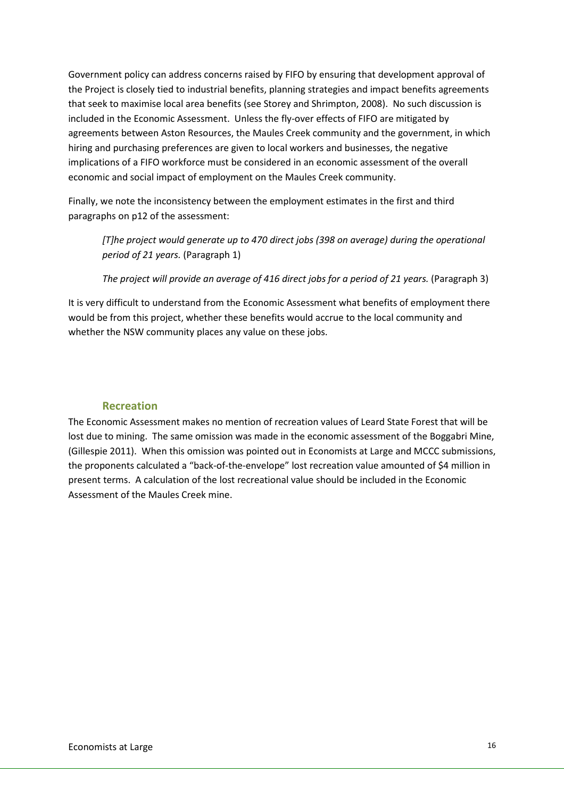Government policy can address concerns raised by FIFO by ensuring that development approval of the Project is closely tied to industrial benefits, planning strategies and impact benefits agreements that seek to maximise local area benefits (see Storey and Shrimpton, 2008). No such discussion is included in the Economic Assessment. Unless the fly-over effects of FIFO are mitigated by agreements between Aston Resources, the Maules Creek community and the government, in which hiring and purchasing preferences are given to local workers and businesses, the negative implications of a FIFO workforce must be considered in an economic assessment of the overall economic and social impact of employment on the Maules Creek community.

Finally, we note the inconsistency between the employment estimates in the first and third paragraphs on p12 of the assessment:

[T]he project would generate up to 470 direct jobs (398 on average) during the operational period of 21 years. (Paragraph 1)

The project will provide an average of 416 direct jobs for a period of 21 years. (Paragraph 3)

It is very difficult to understand from the Economic Assessment what benefits of employment there would be from this project, whether these benefits would accrue to the local community and whether the NSW community places any value on these jobs.

### Recreation

The Economic Assessment makes no mention of recreation values of Leard State Forest that will be lost due to mining. The same omission was made in the economic assessment of the Boggabri Mine, (Gillespie 2011). When this omission was pointed out in Economists at Large and MCCC submissions, the proponents calculated a "back-of-the-envelope" lost recreation value amounted of \$4 million in present terms. A calculation of the lost recreational value should be included in the Economic Assessment of the Maules Creek mine.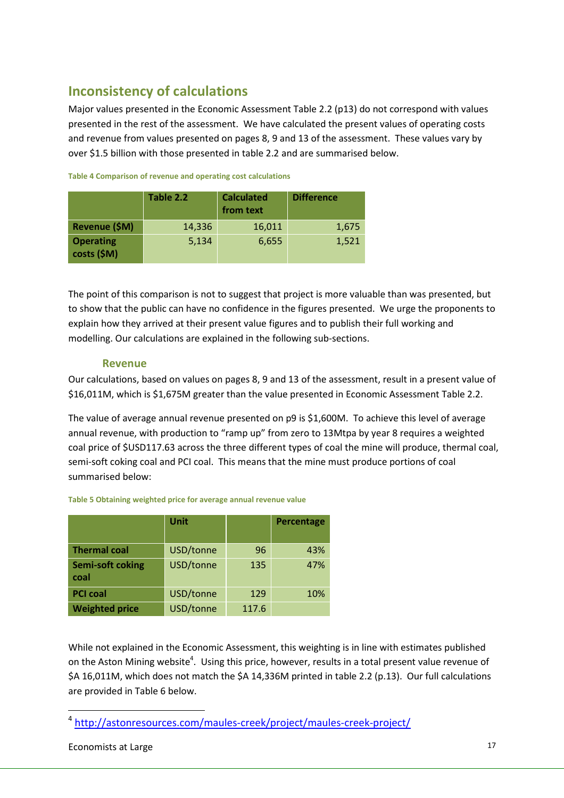# Inconsistency of calculations

Major values presented in the Economic Assessment Table 2.2 (p13) do not correspond with values presented in the rest of the assessment. We have calculated the present values of operating costs and revenue from values presented on pages 8, 9 and 13 of the assessment. These values vary by over \$1.5 billion with those presented in table 2.2 and are summarised below.

|                                 | Table 2.2 | <b>Calculated</b><br>from text | <b>Difference</b> |  |  |  |  |  |
|---------------------------------|-----------|--------------------------------|-------------------|--|--|--|--|--|
| Revenue (\$M)                   | 14,336    | 16,011                         | 1,675             |  |  |  |  |  |
| <b>Operating</b><br>costs (\$M) | 5,134     | 6,655                          | 1,521             |  |  |  |  |  |

#### Table 4 Comparison of revenue and operating cost calculations

The point of this comparison is not to suggest that project is more valuable than was presented, but to show that the public can have no confidence in the figures presented. We urge the proponents to explain how they arrived at their present value figures and to publish their full working and modelling. Our calculations are explained in the following sub-sections.

### Revenue

Our calculations, based on values on pages 8, 9 and 13 of the assessment, result in a present value of \$16,011M, which is \$1,675M greater than the value presented in Economic Assessment Table 2.2.

The value of average annual revenue presented on p9 is \$1,600M. To achieve this level of average annual revenue, with production to "ramp up" from zero to 13Mtpa by year 8 requires a weighted coal price of \$USD117.63 across the three different types of coal the mine will produce, thermal coal, semi-soft coking coal and PCI coal. This means that the mine must produce portions of coal summarised below:

|                                 | Unit      |       | Percentage |
|---------------------------------|-----------|-------|------------|
| <b>Thermal coal</b>             | USD/tonne | 96    | 43%        |
| <b>Semi-soft coking</b><br>coal | USD/tonne | 135   | 47%        |
| <b>PCI coal</b>                 | USD/tonne | 129   | 10%        |
| <b>Weighted price</b>           | USD/tonne | 117.6 |            |

#### Table 5 Obtaining weighted price for average annual revenue value

While not explained in the Economic Assessment, this weighting is in line with estimates published on the Aston Mining website<sup>4</sup>. Using this price, however, results in a total present value revenue of \$A 16,011M, which does not match the \$A 14,336M printed in table 2.2 (p.13). Our full calculations are provided in Table 6 below.

l

<sup>4</sup> http://astonresources.com/maules-creek/project/maules-creek-project/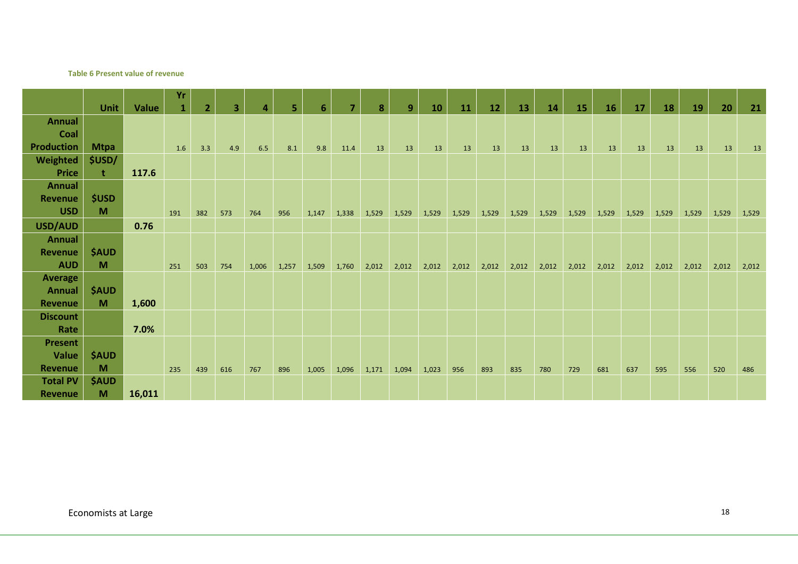#### Table 6 Present value of revenue

|                   |              |        | Yr           |                |     |                         |       |                |       |       |       |       |       |       |       |       |       |       |       |       |       |       |       |
|-------------------|--------------|--------|--------------|----------------|-----|-------------------------|-------|----------------|-------|-------|-------|-------|-------|-------|-------|-------|-------|-------|-------|-------|-------|-------|-------|
|                   | <b>Unit</b>  | Value  | $\mathbf{1}$ | $\overline{2}$ | 3   | $\overline{\mathbf{4}}$ | 5.    | $6\phantom{1}$ | 7     | 8     | 9     | 10    | 11    | 12    | 13    | 14    | 15    | 16    | 17    | 18    | 19    | 20    | 21    |
| <b>Annual</b>     |              |        |              |                |     |                         |       |                |       |       |       |       |       |       |       |       |       |       |       |       |       |       |       |
| Coal              |              |        |              |                |     |                         |       |                |       |       |       |       |       |       |       |       |       |       |       |       |       |       |       |
| <b>Production</b> | <b>Mtpa</b>  |        | 1.6          | 3.3            | 4.9 | 6.5                     | 8.1   | 9.8            | 11.4  | 13    | 13    | 13    | 13    | 13    | 13    | 13    | 13    | 13    | 13    | 13    | 13    | 13    | 13    |
| Weighted          | \$USD/       |        |              |                |     |                         |       |                |       |       |       |       |       |       |       |       |       |       |       |       |       |       |       |
| <b>Price</b>      | t            | 117.6  |              |                |     |                         |       |                |       |       |       |       |       |       |       |       |       |       |       |       |       |       |       |
| Annual            |              |        |              |                |     |                         |       |                |       |       |       |       |       |       |       |       |       |       |       |       |       |       |       |
| <b>Revenue</b>    | <b>\$USD</b> |        |              |                |     |                         |       |                |       |       |       |       |       |       |       |       |       |       |       |       |       |       |       |
| <b>USD</b>        | M            |        | 191          | 382            | 573 | 764                     | 956   | 1,147          | 1,338 | 1,529 | 1,529 | 1,529 | 1,529 | 1,529 | 1,529 | 1,529 | 1,529 | 1,529 | 1,529 | 1,529 | 1,529 | 1,529 | 1,529 |
| USD/AUD           |              | 0.76   |              |                |     |                         |       |                |       |       |       |       |       |       |       |       |       |       |       |       |       |       |       |
| <b>Annual</b>     |              |        |              |                |     |                         |       |                |       |       |       |       |       |       |       |       |       |       |       |       |       |       |       |
| <b>Revenue</b>    | <b>\$AUD</b> |        |              |                |     |                         |       |                |       |       |       |       |       |       |       |       |       |       |       |       |       |       |       |
| <b>AUD</b>        | M            |        | 251          | 503            | 754 | 1,006                   | 1,257 | 1,509          | 1,760 | 2,012 | 2,012 | 2,012 | 2,012 | 2,012 | 2,012 | 2,012 | 2,012 | 2,012 | 2,012 | 2,012 | 2,012 | 2,012 | 2,012 |
| <b>Average</b>    |              |        |              |                |     |                         |       |                |       |       |       |       |       |       |       |       |       |       |       |       |       |       |       |
| Annual            | <b>\$AUD</b> |        |              |                |     |                         |       |                |       |       |       |       |       |       |       |       |       |       |       |       |       |       |       |
| <b>Revenue</b>    | M            | 1,600  |              |                |     |                         |       |                |       |       |       |       |       |       |       |       |       |       |       |       |       |       |       |
| <b>Discount</b>   |              |        |              |                |     |                         |       |                |       |       |       |       |       |       |       |       |       |       |       |       |       |       |       |
| Rate              |              | 7.0%   |              |                |     |                         |       |                |       |       |       |       |       |       |       |       |       |       |       |       |       |       |       |
| <b>Present</b>    |              |        |              |                |     |                         |       |                |       |       |       |       |       |       |       |       |       |       |       |       |       |       |       |
| Value             | <b>\$AUD</b> |        |              |                |     |                         |       |                |       |       |       |       |       |       |       |       |       |       |       |       |       |       |       |
| <b>Revenue</b>    | M            |        | 235          | 439            | 616 | 767                     | 896   | 1,005          | 1,096 | 1,171 | 1,094 | 1,023 | 956   | 893   | 835   | 780   | 729   | 681   | 637   | 595   | 556   | 520   | 486   |
| <b>Total PV</b>   | <b>\$AUD</b> |        |              |                |     |                         |       |                |       |       |       |       |       |       |       |       |       |       |       |       |       |       |       |
| <b>Revenue</b>    | M            | 16,011 |              |                |     |                         |       |                |       |       |       |       |       |       |       |       |       |       |       |       |       |       |       |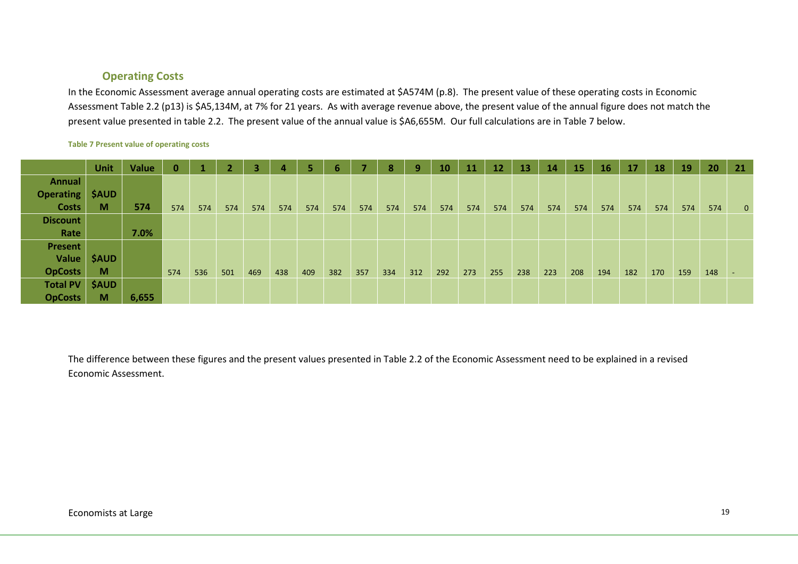### Operating Costs

In the Economic Assessment average annual operating costs are estimated at \$A574M (p.8). The present value of these operating costs in Economic Assessment Table 2.2 (p13) is \$A5,134M, at 7% for 21 years. As with average revenue above, the present value of the annual figure does not match the present value presented in table 2.2. The present value of the annual value is \$A6,655M. Our full calculations are in Table 7 below.

#### Table 7 Present value of operating costs

|                  | Unit         | <b>Value</b> | $\bf{0}$ |     |     | 3   | А   |     | 6   | ۰.  | 8   | 9   | 10  | 11  | 12  | $\overline{\mathbf{13}}$ | 14  | 15  | 16  | 17  | 18  | 19  | 20  | 21           |
|------------------|--------------|--------------|----------|-----|-----|-----|-----|-----|-----|-----|-----|-----|-----|-----|-----|--------------------------|-----|-----|-----|-----|-----|-----|-----|--------------|
| <b>Annual</b>    |              |              |          |     |     |     |     |     |     |     |     |     |     |     |     |                          |     |     |     |     |     |     |     |              |
| <b>Operating</b> | <b>\$AUD</b> |              |          |     |     |     |     |     |     |     |     |     |     |     |     |                          |     |     |     |     |     |     |     |              |
| <b>Costs</b>     | M            | 574          | 574      | 574 | 574 | 574 | 574 | 574 | 574 | 574 | 574 | 574 | 574 | 574 | 574 | 574                      | 574 | 574 | 574 | 574 | 574 | 574 | 574 | $\mathbf{0}$ |
| <b>Discount</b>  |              |              |          |     |     |     |     |     |     |     |     |     |     |     |     |                          |     |     |     |     |     |     |     |              |
| Rate             |              | 7.0%         |          |     |     |     |     |     |     |     |     |     |     |     |     |                          |     |     |     |     |     |     |     |              |
| Present          |              |              |          |     |     |     |     |     |     |     |     |     |     |     |     |                          |     |     |     |     |     |     |     |              |
| <b>Value</b>     | <b>\$AUD</b> |              |          |     |     |     |     |     |     |     |     |     |     |     |     |                          |     |     |     |     |     |     |     |              |
| <b>OpCosts</b>   | M            |              | 574      | 536 | 501 | 469 | 438 | 409 | 382 | 357 | 334 | 312 | 292 | 273 | 255 | 238                      | 223 | 208 | 194 | 182 | 170 | 159 | 148 | -            |
| <b>Total PV</b>  | <b>\$AUD</b> |              |          |     |     |     |     |     |     |     |     |     |     |     |     |                          |     |     |     |     |     |     |     |              |
| <b>OpCosts</b>   | M            | 6,655        |          |     |     |     |     |     |     |     |     |     |     |     |     |                          |     |     |     |     |     |     |     |              |

The difference between these figures and the present values presented in Table 2.2 of the Economic Assessment need to be explained in a revised Economic Assessment.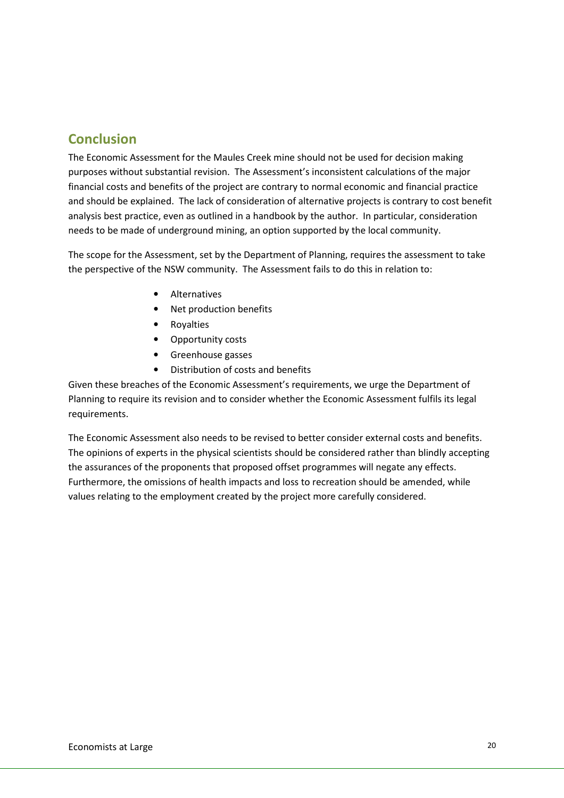# Conclusion

The Economic Assessment for the Maules Creek mine should not be used for decision making purposes without substantial revision. The Assessment's inconsistent calculations of the major financial costs and benefits of the project are contrary to normal economic and financial practice and should be explained. The lack of consideration of alternative projects is contrary to cost benefit analysis best practice, even as outlined in a handbook by the author. In particular, consideration needs to be made of underground mining, an option supported by the local community.

The scope for the Assessment, set by the Department of Planning, requires the assessment to take the perspective of the NSW community. The Assessment fails to do this in relation to:

- Alternatives
- Net production benefits
- Royalties
- Opportunity costs
- Greenhouse gasses
- Distribution of costs and benefits

Given these breaches of the Economic Assessment's requirements, we urge the Department of Planning to require its revision and to consider whether the Economic Assessment fulfils its legal requirements.

The Economic Assessment also needs to be revised to better consider external costs and benefits. The opinions of experts in the physical scientists should be considered rather than blindly accepting the assurances of the proponents that proposed offset programmes will negate any effects. Furthermore, the omissions of health impacts and loss to recreation should be amended, while values relating to the employment created by the project more carefully considered.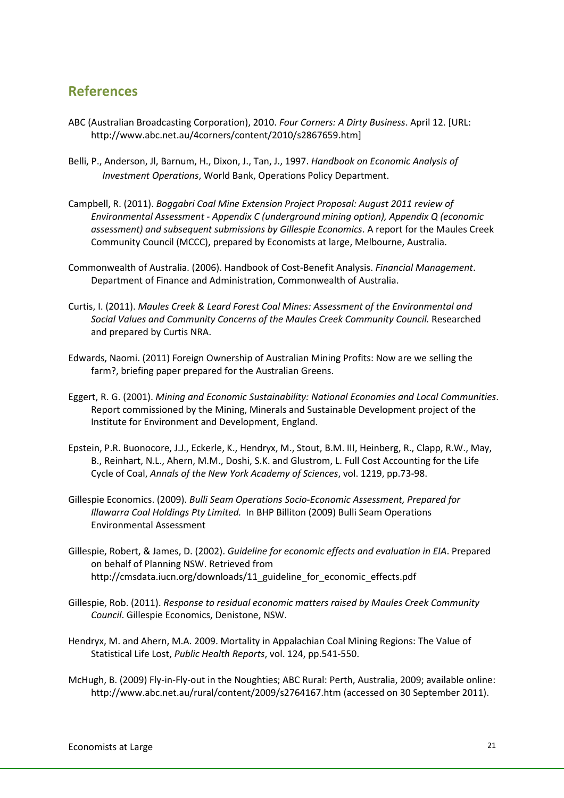## References

- ABC (Australian Broadcasting Corporation), 2010. Four Corners: A Dirty Business. April 12. [URL: http://www.abc.net.au/4corners/content/2010/s2867659.htm]
- Belli, P., Anderson, Jl, Barnum, H., Dixon, J., Tan, J., 1997. Handbook on Economic Analysis of Investment Operations, World Bank, Operations Policy Department.
- Campbell, R. (2011). Boggabri Coal Mine Extension Project Proposal: August 2011 review of Environmental Assessment - Appendix C (underground mining option), Appendix Q (economic assessment) and subsequent submissions by Gillespie Economics. A report for the Maules Creek Community Council (MCCC), prepared by Economists at large, Melbourne, Australia.
- Commonwealth of Australia. (2006). Handbook of Cost-Benefit Analysis. Financial Management. Department of Finance and Administration, Commonwealth of Australia.
- Curtis, I. (2011). Maules Creek & Leard Forest Coal Mines: Assessment of the Environmental and Social Values and Community Concerns of the Maules Creek Community Council. Researched and prepared by Curtis NRA.
- Edwards, Naomi. (2011) Foreign Ownership of Australian Mining Profits: Now are we selling the farm?, briefing paper prepared for the Australian Greens.
- Eggert, R. G. (2001). Mining and Economic Sustainability: National Economies and Local Communities. Report commissioned by the Mining, Minerals and Sustainable Development project of the Institute for Environment and Development, England.
- Epstein, P.R. Buonocore, J.J., Eckerle, K., Hendryx, M., Stout, B.M. III, Heinberg, R., Clapp, R.W., May, B., Reinhart, N.L., Ahern, M.M., Doshi, S.K. and Glustrom, L. Full Cost Accounting for the Life Cycle of Coal, Annals of the New York Academy of Sciences, vol. 1219, pp.73-98.
- Gillespie Economics. (2009). Bulli Seam Operations Socio-Economic Assessment, Prepared for Illawarra Coal Holdings Pty Limited. In BHP Billiton (2009) Bulli Seam Operations Environmental Assessment
- Gillespie, Robert, & James, D. (2002). Guideline for economic effects and evaluation in EIA. Prepared on behalf of Planning NSW. Retrieved from http://cmsdata.iucn.org/downloads/11\_guideline\_for\_economic\_effects.pdf
- Gillespie, Rob. (2011). Response to residual economic matters raised by Maules Creek Community Council. Gillespie Economics, Denistone, NSW.
- Hendryx, M. and Ahern, M.A. 2009. Mortality in Appalachian Coal Mining Regions: The Value of Statistical Life Lost, Public Health Reports, vol. 124, pp.541-550.
- McHugh, B. (2009) Fly-in-Fly-out in the Noughties; ABC Rural: Perth, Australia, 2009; available online: http://www.abc.net.au/rural/content/2009/s2764167.htm (accessed on 30 September 2011).